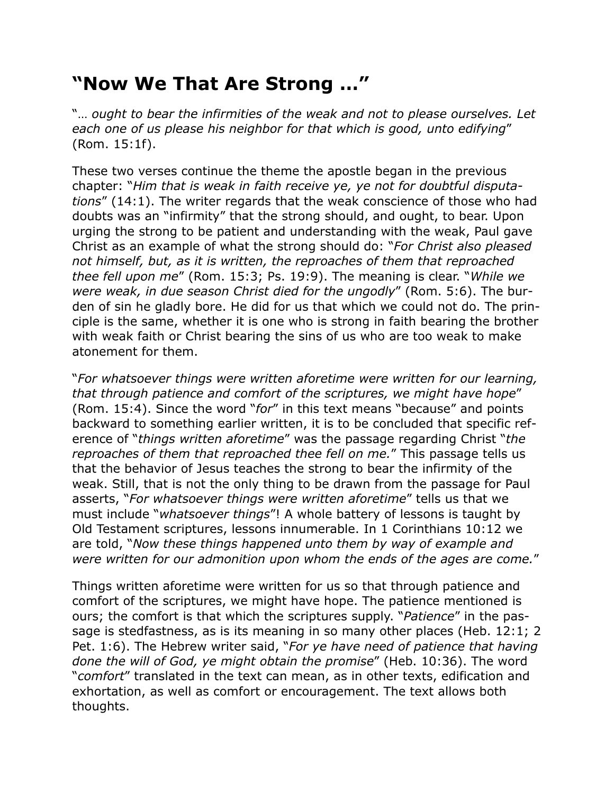## **"Now We That Are Strong …"**

"… *ought to bear the infirmities of the weak and not to please ourselves. Let each one of us please his neighbor for that which is good, unto edifying*" (Rom. 15:1f).

These two verses continue the theme the apostle began in the previous chapter: "*Him that is weak in faith receive ye, ye not for doubtful disputations*" (14:1). The writer regards that the weak conscience of those who had doubts was an "infirmity" that the strong should, and ought, to bear. Upon urging the strong to be patient and understanding with the weak, Paul gave Christ as an example of what the strong should do: "*For Christ also pleased not himself, but, as it is written, the reproaches of them that reproached thee fell upon me*" (Rom. 15:3; Ps. 19:9). The meaning is clear. "*While we were weak, in due season Christ died for the ungodly*" (Rom. 5:6). The burden of sin he gladly bore. He did for us that which we could not do. The principle is the same, whether it is one who is strong in faith bearing the brother with weak faith or Christ bearing the sins of us who are too weak to make atonement for them.

"*For whatsoever things were written aforetime were written for our learning, that through patience and comfort of the scriptures, we might have hope*" (Rom. 15:4). Since the word "*for*" in this text means "because" and points backward to something earlier written, it is to be concluded that specific reference of "*things written aforetime*" was the passage regarding Christ "*the reproaches of them that reproached thee fell on me.*" This passage tells us that the behavior of Jesus teaches the strong to bear the infirmity of the weak. Still, that is not the only thing to be drawn from the passage for Paul asserts, "*For whatsoever things were written aforetime*" tells us that we must include "*whatsoever things*"! A whole battery of lessons is taught by Old Testament scriptures, lessons innumerable. In 1 Corinthians 10:12 we are told, "*Now these things happened unto them by way of example and were written for our admonition upon whom the ends of the ages are come.*"

Things written aforetime were written for us so that through patience and comfort of the scriptures, we might have hope. The patience mentioned is ours; the comfort is that which the scriptures supply. "*Patience*" in the passage is stedfastness, as is its meaning in so many other places (Heb. 12:1; 2 Pet. 1:6). The Hebrew writer said, "*For ye have need of patience that having done the will of God, ye might obtain the promise*" (Heb. 10:36). The word "*comfort*" translated in the text can mean, as in other texts, edification and exhortation, as well as comfort or encouragement. The text allows both thoughts.